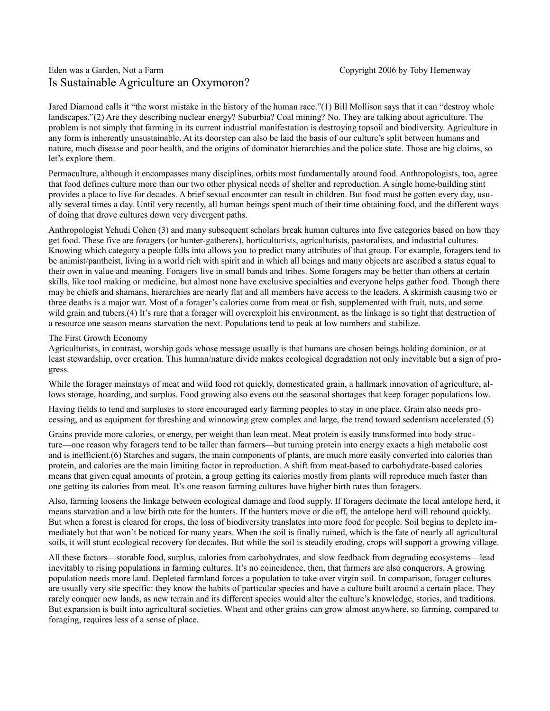# Eden was a Garden, Not a Farm Copyright 2006 by Toby Hemenway Is Sustainable Agriculture an Oxymoron?

Jared Diamond calls it "the worst mistake in the history of the human race."(1) Bill Mollison says that it can "destroy whole landscapes."(2) Are they describing nuclear energy? Suburbia? Coal mining? No. They are talking about agriculture. The problem is not simply that farming in its current industrial manifestation is destroying topsoil and biodiversity. Agriculture in any form is inherently unsustainable. At its doorstep can also be laid the basis of our culture's split between humans and nature, much disease and poor health, and the origins of dominator hierarchies and the police state. Those are big claims, so let's explore them.

Permaculture, although it encompasses many disciplines, orbits most fundamentally around food. Anthropologists, too, agree that food defines culture more than our two other physical needs of shelter and reproduction. A single home-building stint provides a place to live for decades. A brief sexual encounter can result in children. But food must be gotten every day, usually several times a day. Until very recently, all human beings spent much of their time obtaining food, and the different ways of doing that drove cultures down very divergent paths.

Anthropologist Yehudi Cohen (3) and many subsequent scholars break human cultures into five categories based on how they get food. These five are foragers (or hunter-gatherers), horticulturists, agriculturists, pastoralists, and industrial cultures. Knowing which category a people falls into allows you to predict many attributes of that group. For example, foragers tend to be animist/pantheist, living in a world rich with spirit and in which all beings and many objects are ascribed a status equal to their own in value and meaning. Foragers live in small bands and tribes. Some foragers may be better than others at certain skills, like tool making or medicine, but almost none have exclusive specialties and everyone helps gather food. Though there may be chiefs and shamans, hierarchies are nearly flat and all members have access to the leaders. A skirmish causing two or three deaths is a major war. Most of a forager's calories come from meat or fish, supplemented with fruit, nuts, and some wild grain and tubers.(4) It's rare that a forager will overexploit his environment, as the linkage is so tight that destruction of a resource one season means starvation the next. Populations tend to peak at low numbers and stabilize.

### The First Growth Economy

Agriculturists, in contrast, worship gods whose message usually is that humans are chosen beings holding dominion, or at least stewardship, over creation. This human/nature divide makes ecological degradation not only inevitable but a sign of progress.

While the forager mainstays of meat and wild food rot quickly, domesticated grain, a hallmark innovation of agriculture, allows storage, hoarding, and surplus. Food growing also evens out the seasonal shortages that keep forager populations low.

Having fields to tend and surpluses to store encouraged early farming peoples to stay in one place. Grain also needs processing, and as equipment for threshing and winnowing grew complex and large, the trend toward sedentism accelerated.(5)

Grains provide more calories, or energy, per weight than lean meat. Meat protein is easily transformed into body structure—one reason why foragers tend to be taller than farmers—but turning protein into energy exacts a high metabolic cost and is inefficient.(6) Starches and sugars, the main components of plants, are much more easily converted into calories than protein, and calories are the main limiting factor in reproduction. A shift from meat-based to carbohydrate-based calories means that given equal amounts of protein, a group getting its calories mostly from plants will reproduce much faster than one getting its calories from meat. It's one reason farming cultures have higher birth rates than foragers.

Also, farming loosens the linkage between ecological damage and food supply. If foragers decimate the local antelope herd, it means starvation and a low birth rate for the hunters. If the hunters move or die off, the antelope herd will rebound quickly. But when a forest is cleared for crops, the loss of biodiversity translates into more food for people. Soil begins to deplete immediately but that won't be noticed for many years. When the soil is finally ruined, which is the fate of nearly all agricultural soils, it will stunt ecological recovery for decades. But while the soil is steadily eroding, crops will support a growing village.

All these factors—storable food, surplus, calories from carbohydrates, and slow feedback from degrading ecosystems—lead inevitably to rising populations in farming cultures. It's no coincidence, then, that farmers are also conquerors. A growing population needs more land. Depleted farmland forces a population to take over virgin soil. In comparison, forager cultures are usually very site specific: they know the habits of particular species and have a culture built around a certain place. They rarely conquer new lands, as new terrain and its different species would alter the culture's knowledge, stories, and traditions. But expansion is built into agricultural societies. Wheat and other grains can grow almost anywhere, so farming, compared to foraging, requires less of a sense of place.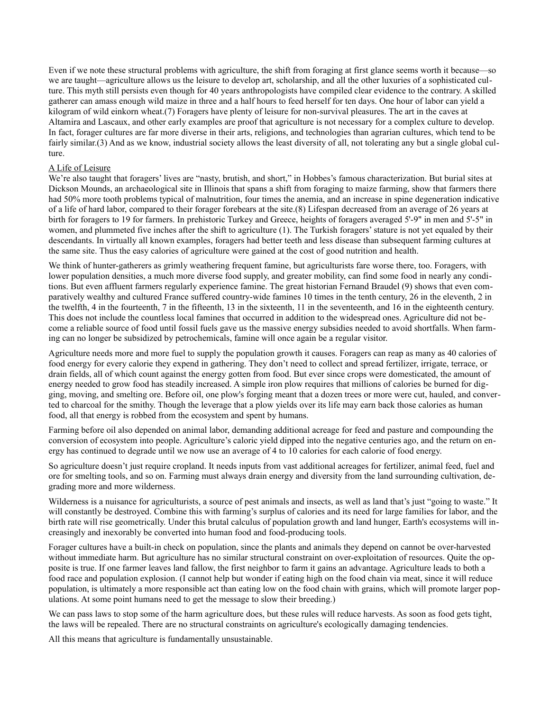Even if we note these structural problems with agriculture, the shift from foraging at first glance seems worth it because—so we are taught—agriculture allows us the leisure to develop art, scholarship, and all the other luxuries of a sophisticated culture. This myth still persists even though for 40 years anthropologists have compiled clear evidence to the contrary. A skilled gatherer can amass enough wild maize in three and a half hours to feed herself for ten days. One hour of labor can yield a kilogram of wild einkorn wheat.(7) Foragers have plenty of leisure for non-survival pleasures. The art in the caves at Altamira and Lascaux, and other early examples are proof that agriculture is not necessary for a complex culture to develop. In fact, forager cultures are far more diverse in their arts, religions, and technologies than agrarian cultures, which tend to be fairly similar.(3) And as we know, industrial society allows the least diversity of all, not tolerating any but a single global culture.

### A Life of Leisure

We're also taught that foragers' lives are "nasty, brutish, and short," in Hobbes's famous characterization. But burial sites at Dickson Mounds, an archaeological site in Illinois that spans a shift from foraging to maize farming, show that farmers there had 50% more tooth problems typical of malnutrition, four times the anemia, and an increase in spine degeneration indicative of a life of hard labor, compared to their forager forebears at the site.(8) Lifespan decreased from an average of 26 years at birth for foragers to 19 for farmers. In prehistoric Turkey and Greece, heights of foragers averaged 5'-9" in men and 5'-5" in women, and plummeted five inches after the shift to agriculture (1). The Turkish foragers' stature is not yet equaled by their descendants. In virtually all known examples, foragers had better teeth and less disease than subsequent farming cultures at the same site. Thus the easy calories of agriculture were gained at the cost of good nutrition and health.

We think of hunter-gatherers as grimly weathering frequent famine, but agriculturists fare worse there, too. Foragers, with lower population densities, a much more diverse food supply, and greater mobility, can find some food in nearly any conditions. But even affluent farmers regularly experience famine. The great historian Fernand Braudel (9) shows that even comparatively wealthy and cultured France suffered country-wide famines 10 times in the tenth century, 26 in the eleventh, 2 in the twelfth, 4 in the fourteenth, 7 in the fifteenth, 13 in the sixteenth, 11 in the seventeenth, and 16 in the eighteenth century. This does not include the countless local famines that occurred in addition to the widespread ones. Agriculture did not become a reliable source of food until fossil fuels gave us the massive energy subsidies needed to avoid shortfalls. When farming can no longer be subsidized by petrochemicals, famine will once again be a regular visitor.

Agriculture needs more and more fuel to supply the population growth it causes. Foragers can reap as many as 40 calories of food energy for every calorie they expend in gathering. They don't need to collect and spread fertilizer, irrigate, terrace, or drain fields, all of which count against the energy gotten from food. But ever since crops were domesticated, the amount of energy needed to grow food has steadily increased. A simple iron plow requires that millions of calories be burned for digging, moving, and smelting ore. Before oil, one plow's forging meant that a dozen trees or more were cut, hauled, and converted to charcoal for the smithy. Though the leverage that a plow yields over its life may earn back those calories as human food, all that energy is robbed from the ecosystem and spent by humans.

Farming before oil also depended on animal labor, demanding additional acreage for feed and pasture and compounding the conversion of ecosystem into people. Agriculture's caloric yield dipped into the negative centuries ago, and the return on energy has continued to degrade until we now use an average of 4 to 10 calories for each calorie of food energy.

So agriculture doesn't just require cropland. It needs inputs from vast additional acreages for fertilizer, animal feed, fuel and ore for smelting tools, and so on. Farming must always drain energy and diversity from the land surrounding cultivation, degrading more and more wilderness.

Wilderness is a nuisance for agriculturists, a source of pest animals and insects, as well as land that's just "going to waste." It will constantly be destroyed. Combine this with farming's surplus of calories and its need for large families for labor, and the birth rate will rise geometrically. Under this brutal calculus of population growth and land hunger, Earth's ecosystems will increasingly and inexorably be converted into human food and food-producing tools.

Forager cultures have a built-in check on population, since the plants and animals they depend on cannot be over-harvested without immediate harm. But agriculture has no similar structural constraint on over-exploitation of resources. Quite the opposite is true. If one farmer leaves land fallow, the first neighbor to farm it gains an advantage. Agriculture leads to both a food race and population explosion. (I cannot help but wonder if eating high on the food chain via meat, since it will reduce population, is ultimately a more responsible act than eating low on the food chain with grains, which will promote larger populations. At some point humans need to get the message to slow their breeding.)

We can pass laws to stop some of the harm agriculture does, but these rules will reduce harvests. As soon as food gets tight, the laws will be repealed. There are no structural constraints on agriculture's ecologically damaging tendencies.

All this means that agriculture is fundamentally unsustainable.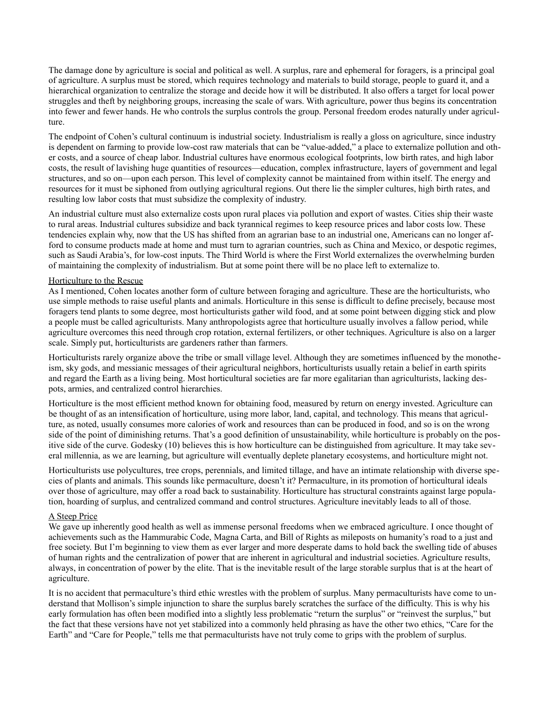The damage done by agriculture is social and political as well. A surplus, rare and ephemeral for foragers, is a principal goal of agriculture. A surplus must be stored, which requires technology and materials to build storage, people to guard it, and a hierarchical organization to centralize the storage and decide how it will be distributed. It also offers a target for local power struggles and theft by neighboring groups, increasing the scale of wars. With agriculture, power thus begins its concentration into fewer and fewer hands. He who controls the surplus controls the group. Personal freedom erodes naturally under agriculture.

The endpoint of Cohen's cultural continuum is industrial society. Industrialism is really a gloss on agriculture, since industry is dependent on farming to provide low-cost raw materials that can be "value-added," a place to externalize pollution and other costs, and a source of cheap labor. Industrial cultures have enormous ecological footprints, low birth rates, and high labor costs, the result of lavishing huge quantities of resources—education, complex infrastructure, layers of government and legal structures, and so on—upon each person. This level of complexity cannot be maintained from within itself. The energy and resources for it must be siphoned from outlying agricultural regions. Out there lie the simpler cultures, high birth rates, and resulting low labor costs that must subsidize the complexity of industry.

An industrial culture must also externalize costs upon rural places via pollution and export of wastes. Cities ship their waste to rural areas. Industrial cultures subsidize and back tyrannical regimes to keep resource prices and labor costs low. These tendencies explain why, now that the US has shifted from an agrarian base to an industrial one, Americans can no longer afford to consume products made at home and must turn to agrarian countries, such as China and Mexico, or despotic regimes, such as Saudi Arabia's, for low-cost inputs. The Third World is where the First World externalizes the overwhelming burden of maintaining the complexity of industrialism. But at some point there will be no place left to externalize to.

## Horticulture to the Rescue

As I mentioned, Cohen locates another form of culture between foraging and agriculture. These are the horticulturists, who use simple methods to raise useful plants and animals. Horticulture in this sense is difficult to define precisely, because most foragers tend plants to some degree, most horticulturists gather wild food, and at some point between digging stick and plow a people must be called agriculturists. Many anthropologists agree that horticulture usually involves a fallow period, while agriculture overcomes this need through crop rotation, external fertilizers, or other techniques. Agriculture is also on a larger scale. Simply put, horticulturists are gardeners rather than farmers.

Horticulturists rarely organize above the tribe or small village level. Although they are sometimes influenced by the monotheism, sky gods, and messianic messages of their agricultural neighbors, horticulturists usually retain a belief in earth spirits and regard the Earth as a living being. Most horticultural societies are far more egalitarian than agriculturists, lacking despots, armies, and centralized control hierarchies.

Horticulture is the most efficient method known for obtaining food, measured by return on energy invested. Agriculture can be thought of as an intensification of horticulture, using more labor, land, capital, and technology. This means that agriculture, as noted, usually consumes more calories of work and resources than can be produced in food, and so is on the wrong side of the point of diminishing returns. That's a good definition of unsustainability, while horticulture is probably on the positive side of the curve. Godesky (10) believes this is how horticulture can be distinguished from agriculture. It may take several millennia, as we are learning, but agriculture will eventually deplete planetary ecosystems, and horticulture might not.

Horticulturists use polycultures, tree crops, perennials, and limited tillage, and have an intimate relationship with diverse species of plants and animals. This sounds like permaculture, doesn't it? Permaculture, in its promotion of horticultural ideals over those of agriculture, may offer a road back to sustainability. Horticulture has structural constraints against large population, hoarding of surplus, and centralized command and control structures. Agriculture inevitably leads to all of those.

### A Steep Price

We gave up inherently good health as well as immense personal freedoms when we embraced agriculture. I once thought of achievements such as the Hammurabic Code, Magna Carta, and Bill of Rights as mileposts on humanity's road to a just and free society. But I'm beginning to view them as ever larger and more desperate dams to hold back the swelling tide of abuses of human rights and the centralization of power that are inherent in agricultural and industrial societies. Agriculture results, always, in concentration of power by the elite. That is the inevitable result of the large storable surplus that is at the heart of agriculture.

It is no accident that permaculture's third ethic wrestles with the problem of surplus. Many permaculturists have come to understand that Mollison's simple injunction to share the surplus barely scratches the surface of the difficulty. This is why his early formulation has often been modified into a slightly less problematic "return the surplus" or "reinvest the surplus," but the fact that these versions have not yet stabilized into a commonly held phrasing as have the other two ethics, "Care for the Earth" and "Care for People," tells me that permaculturists have not truly come to grips with the problem of surplus.